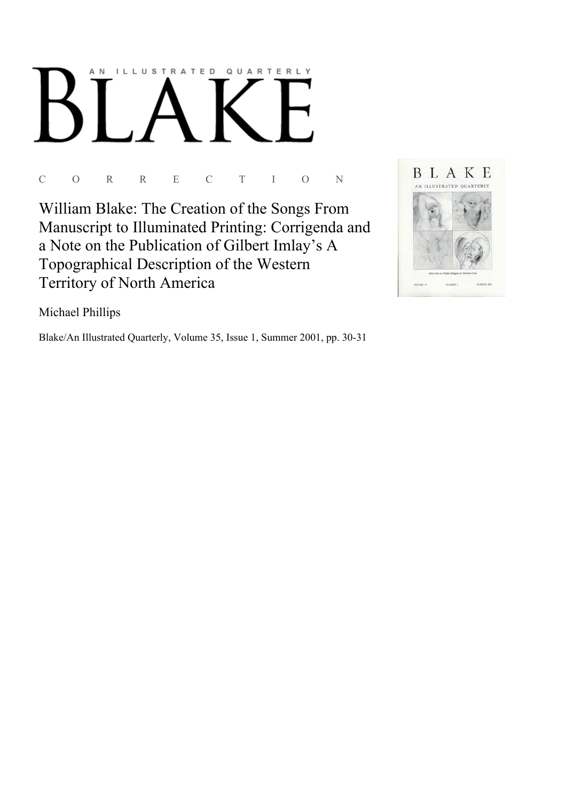

 $\overline{C}$  $\overline{O}$  $\overline{R}$  $\overline{R}$  $\overline{E}$  $\overline{C}$ T  $\mathbf I$  $\overline{O}$ N

William Blake: The Creation of the Songs From Manuscript to Illuminated Printing: Corrigenda and a Note on the Publication of Gilbert Imlay's A Topographical Description of the Western Territory of North America



Michael Phillips

Blake/An Illustrated Quarterly, Volume 35, Issue 1, Summer 2001, pp. 30-31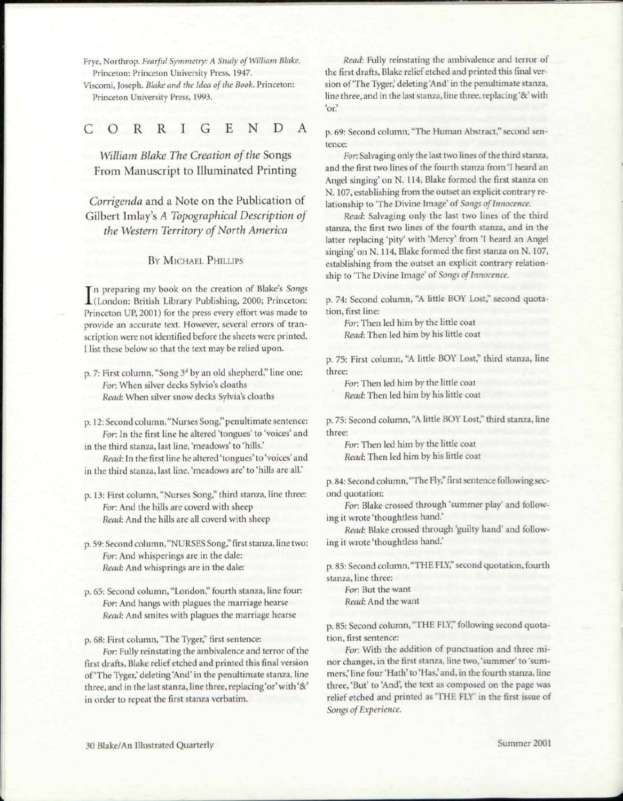Frye, Northrop. *Fearful Symmetry: A Study of William Blake.*  Princeton: Princeton University Press, 1947.

Viscomi, Joseph. *Blake and the Idea of the Book.* Princeton: Princeton University Press, 1993.

## CORRIGEND

*William Blake The Creation of the* Songs From Manuscript to Illuminated Printing

*Corrigenda* and a Note on the Publication of Gilbert Imlay's *A Topographical Description of the Western Territory of North America* 

## BY MICHAEL PHILLIPS

In preparing my book on the creation of Blake's *Songs*<br>(London: British Library Publishing, 2000; Princeton: n preparing my book on the creation of Blake's *Songs*  Princeton UP, 2001) for the press every effort was made to provide an accurate text. However, several errors of transcription were not identified before the sheets were printed. I list these below so that the text may be relied upon.

- p. 7: First column, "Song 3<sup>d</sup> by an old shepherd," line one: *For.* When silver decks Sylvio's cloaths *Read:* When silver snow decks Sylvia's cloaths
- p. 12: Second column, "Nurses Song," penultimate sentence: *For.* In the first line he altered 'tongues' to 'voices' and

in the third stanza, last line, 'meadows' to 'hills.' *Read:* In the first line he altered 'tongues' to 'voices' and

- in the third stanza, last line, 'meadows are' to 'hills are all.'
- p. 13: First column, "Nurses Song," third stanza, line three: *For:* And the hills are coverd with sheep *Read:* And the hills are all coverd with sheep
- p. 59: Second column, "NURSES Song," first stanza, line two: *For:* And whisperings are in the dale: *Read:* And whisprings are in the dale:
- p. 65: Second column, "London," fourth stanza, line four: *For:* And hangs with plagues the marriage hearse *Read:* And smites with plagues the marriage hearse

p. 68: First column, "The Tyger," first sentence:

*For:* Fully reinstating the ambivalence and terror of the first drafts, Blake relief etched and printed this final version of'The Tyger,' deleting 'And' in the penultimate stanza, line three, and in the last stanza, line three, replacing 'or' with '&' in order to repeat the first stanza verbatim.

*Read:* Fully reinstating the ambivalence and terror of the first drafts, Blake relief etched and printed this final version of'The Tyger,' deleting'And' in the penultimate stanza, line three, and in the last stanza, line three, replacing '&' with 'or.'

p. 69: Second column, "The Human Abstract," second sentence:

*For.* Salvaging only the last two lines of the third stanza, and the first two lines of the fourth stanza from 'I heard an Angel singing' on N. 114, Blake formed the first stanza on N. 107, establishing from the outset an explicit contrary relationship to 'The Divine Image' of *Songs of Innocence.* 

*Read:* Salvaging only the last two lines of the third stanza, the first two lines of the fourth stanza, and in the latter replacing 'pity' with 'Mercy' from T heard an Angel singing' on N. 114, Blake formed the first stanza on N. 107, establishing from the outset an explicit contrary relationship to 'The Divine Image' of *Songs of Innocence.* 

p. 74: Second column, "A little BOY Lost," second quotation, first line:

*For:* Then led him by the little coat

*Read:* Then led him by his little coat

p. 75: First column, "A little BOY Lost," third stanza, line three:

*For:* Then led him by the little coat *Read:* Then led him by his little coat

p. 75: Second column, "A little BOY Lost," third stanza, line three:

*For:* Then led him by the little coat *Read:* Then led him by his little coat

p. 84: Second column, "The Fly," first sentence following second quotation:

*For.* Blake crossed through 'summer play' and following it wrote 'thoughtless hand.'

*Read:* Blake crossed through 'guilty hand' and following it wrote 'thoughtless hand.'

p. 85: Second column, "THE FLY," second quotation, fourth stanza, line three:

*For.* But the want

*Read:* And the want

p. 85: Second column, "THE FLY," following second quotation, first sentence:

*For:* With the addition of punctuation and three minor changes, in the first stanza, line two,'summer' to 'summers,' line four 'Hath' to 'Has,' and, in the fourth stanza, line three, 'But' to 'And', the text as composed on the page was relief etched and printed as 'THE FLY' in the first issue of *Songs of Experience.*